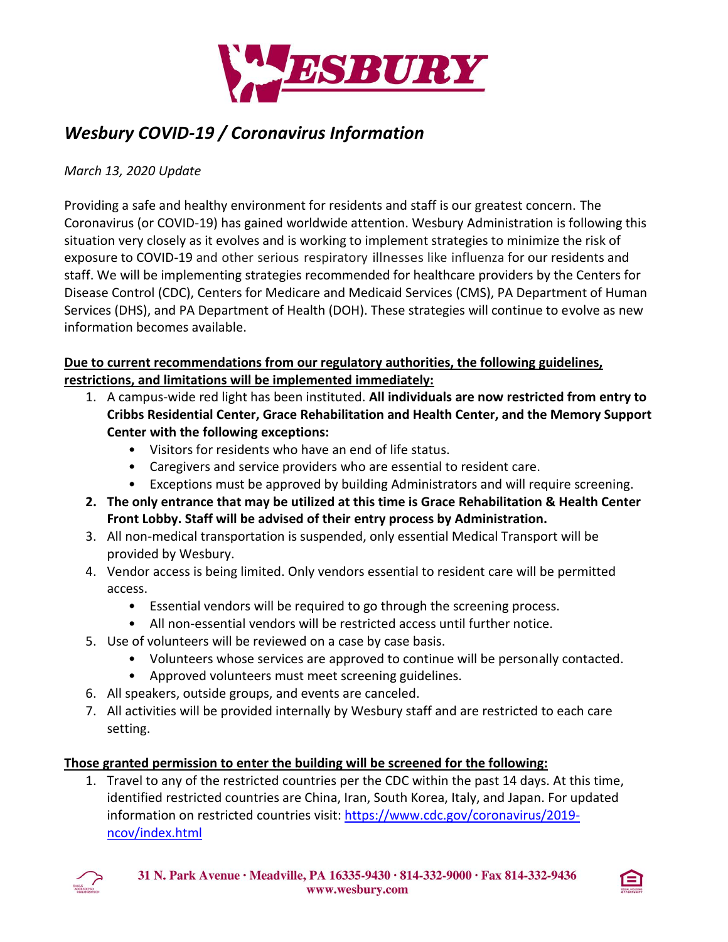

# *Wesbury COVID-19 / Coronavirus Information*

## *March 13, 2020 Update*

Providing a safe and healthy environment for residents and staff is our greatest concern. The Coronavirus (or COVID-19) has gained worldwide attention. Wesbury Administration is following this situation very closely as it evolves and is working to implement strategies to minimize the risk of exposure to COVID-19 and other serious respiratory illnesses like influenza for our residents and staff. We will be implementing strategies recommended for healthcare providers by the Centers for Disease Control (CDC), Centers for Medicare and Medicaid Services (CMS), PA Department of Human Services (DHS), and PA Department of Health (DOH). These strategies will continue to evolve as new information becomes available.

# **Due to current recommendations from our regulatory authorities, the following guidelines, restrictions, and limitations will be implemented immediately:**

- 1. A campus-wide red light has been instituted. **All individuals are now restricted from entry to Cribbs Residential Center, Grace Rehabilitation and Health Center, and the Memory Support Center with the following exceptions:**
	- Visitors for residents who have an end of life status.
	- Caregivers and service providers who are essential to resident care.
	- Exceptions must be approved by building Administrators and will require screening.
- **2. The only entrance that may be utilized at this time is Grace Rehabilitation & Health Center Front Lobby. Staff will be advised of their entry process by Administration.**
- 3. All non-medical transportation is suspended, only essential Medical Transport will be provided by Wesbury.
- 4. Vendor access is being limited. Only vendors essential to resident care will be permitted access.
	- Essential vendors will be required to go through the screening process.
	- All non-essential vendors will be restricted access until further notice.
- 5. Use of volunteers will be reviewed on a case by case basis.
	- Volunteers whose services are approved to continue will be personally contacted.
	- Approved volunteers must meet screening guidelines.
- 6. All speakers, outside groups, and events are canceled.
- 7. All activities will be provided internally by Wesbury staff and are restricted to each care setting.

## **Those granted permission to enter the building will be screened for the following:**

1. Travel to any of the restricted countries per the CDC within the past 14 days. At this time, identified restricted countries are China, Iran, South Korea, Italy, and Japan. For updated information on restricted countries visit: [https://www.cdc.gov/coronavirus/2019](https://www.cdc.gov/coronavirus/2019-ncov/index.html) [ncov/index.html](https://www.cdc.gov/coronavirus/2019-ncov/index.html)



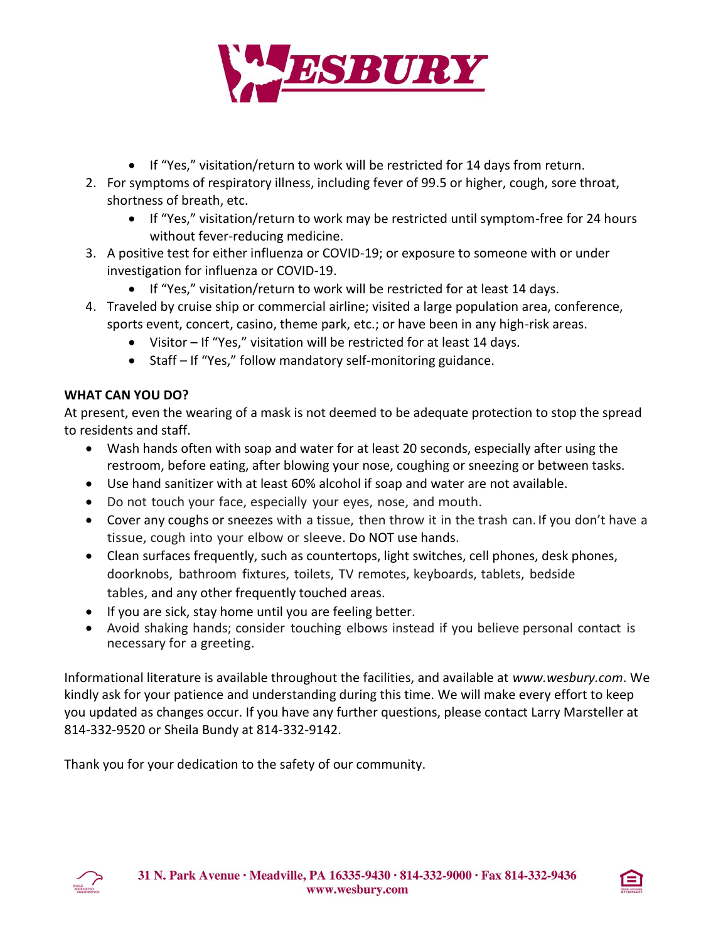

- If "Yes," visitation/return to work will be restricted for 14 days from return.
- 2. For symptoms of respiratory illness, including fever of 99.5 or higher, cough, sore throat, shortness of breath, etc.
	- If "Yes," visitation/return to work may be restricted until symptom-free for 24 hours without fever-reducing medicine.
- 3. A positive test for either influenza or COVID-19; or exposure to someone with or under investigation for influenza or COVID-19.
	- If "Yes," visitation/return to work will be restricted for at least 14 days.
- 4. Traveled by cruise ship or commercial airline; visited a large population area, conference, sports event, concert, casino, theme park, etc.; or have been in any high-risk areas.
	- Visitor If "Yes," visitation will be restricted for at least 14 days.
	- Staff If "Yes," follow mandatory self-monitoring guidance.

## **WHAT CAN YOU DO?**

At present, even the wearing of a mask is not deemed to be adequate protection to stop the spread to residents and staff.

- Wash hands often with soap and water for at least 20 seconds, especially after using the restroom, before eating, after blowing your nose, coughing or sneezing or between tasks.
- Use hand sanitizer with at least 60% alcohol if soap and water are not available.
- Do not touch your face, especially your eyes, nose, and mouth.
- Cover any coughs or sneezes with a tissue, then throw it in the trash can. If you don't have a tissue, cough into your elbow or sleeve. Do NOT use hands.
- Clean surfaces frequently, such as countertops, light switches, cell phones, desk phones, doorknobs, bathroom fixtures, toilets, TV remotes, keyboards, tablets, bedside tables, and any other frequently touched areas.
- If you are sick, stay home until you are feeling better.
- Avoid shaking hands; consider touching elbows instead if you believe personal contact is necessary for a greeting.

Informational literature is available throughout the facilities, and available at *www.wesbury.com*. We kindly ask for your patience and understanding during this time. We will make every effort to keep you updated as changes occur. If you have any further questions, please contact Larry Marsteller at 814-332-9520 or Sheila Bundy at 814-332-9142.

Thank you for your dedication to the safety of our community.